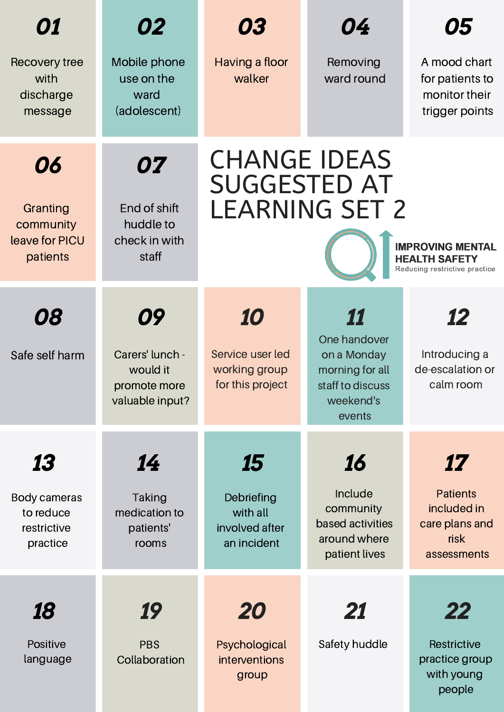| 01                                                         | 02                                                                   | 03                                                                                                                                                      | 04                                                                                              | 05                                                                            |  |
|------------------------------------------------------------|----------------------------------------------------------------------|---------------------------------------------------------------------------------------------------------------------------------------------------------|-------------------------------------------------------------------------------------------------|-------------------------------------------------------------------------------|--|
| Recovery tree<br>with<br>discharge<br>message              | Mobile phone<br>use on the<br>ward<br>(adolescent)                   | Having a floor<br>walker                                                                                                                                | Removing<br>ward round                                                                          | A mood chart<br>for patients to<br>monitor their<br>trigger points            |  |
| 06<br>Granting<br>community<br>leave for PICU<br>patients  | 07<br>End of shift<br>huddle to<br>check in with<br>staff            | <b>CHANGE IDEAS</b><br><b>SUGGESTED AT</b><br><b>LEARNING SET 2</b><br><b>IMPROVING MENTAL</b><br><b>HEALTH SAFETY</b><br>Reducing restrictive practice |                                                                                                 |                                                                               |  |
| 08<br>Safe self harm                                       | 09<br>Carers' lunch -<br>would it<br>promote more<br>valuable input? | 10<br>Service user led<br>working group<br>for this project                                                                                             | 11<br>One handover<br>on a Monday<br>morning for all<br>staff to discuss<br>weekend's<br>events | 12<br>Introducing a<br>de-escalation or<br>calm room                          |  |
| 13<br>Body cameras<br>to reduce<br>restrictive<br>practice | 14<br><b>Taking</b><br>medication to<br>patients'<br>rooms           | 15<br>Debriefing<br>with all<br>involved after<br>an incident                                                                                           | 16<br>Include<br>community<br>based activities<br>around where<br>patient lives                 | 17<br><b>Patients</b><br>included in<br>care plans and<br>risk<br>assessments |  |
| 18<br>Positive<br>language                                 | 19<br><b>PBS</b><br>Collaboration                                    | <i><b>20</b></i><br>Psychological<br>interventions<br>group                                                                                             | 21<br>Safety huddle                                                                             | 22<br>Restrictive<br>practice group<br>with young<br>people                   |  |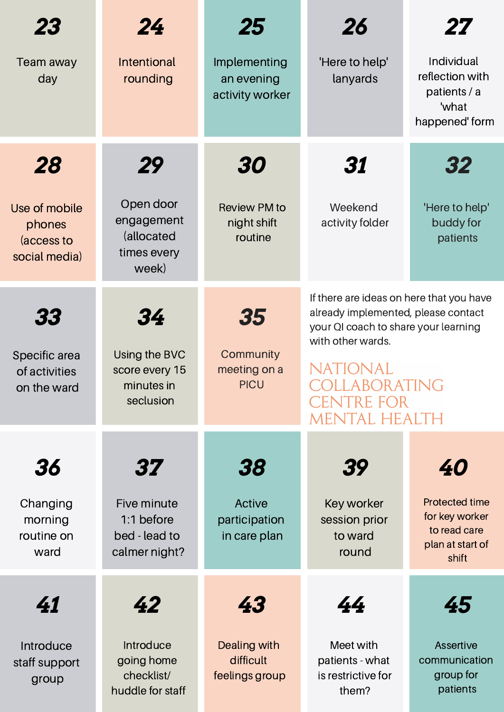| 23                                                     | 24                                                               | 25                                             | 26                                                                                                                                           | 27                                                                                   |
|--------------------------------------------------------|------------------------------------------------------------------|------------------------------------------------|----------------------------------------------------------------------------------------------------------------------------------------------|--------------------------------------------------------------------------------------|
| Team away<br>day                                       | <b>Intentional</b><br>rounding                                   | Implementing<br>an evening<br>activity worker  | 'Here to help'<br>lanyards                                                                                                                   | Individual<br>reflection with<br>patients / a<br>'what<br>happened' form             |
| 28                                                     | 29                                                               | 30                                             | 31                                                                                                                                           | 32                                                                                   |
| Use of mobile<br>phones<br>(access to<br>social media) | Open door<br>engagement<br>(allocated<br>times every<br>week)    | <b>Review PM to</b><br>night shift<br>routine  | Weekend<br>activity folder                                                                                                                   | 'Here to help'<br>buddy for<br>patients                                              |
| 33                                                     | 34<br>Using the BVC<br>score every 15<br>minutes in<br>seclusion | 35<br>Community<br>meeting on a<br><b>PICU</b> | If there are ideas on here that you have<br>already implemented, please contact<br>your QI coach to share your learning<br>with other wards. |                                                                                      |
| Specific area<br>of activities<br>on the ward          |                                                                  |                                                | NATIONAL<br>OLLABORATING<br>CENTRE FOR<br>MENTAL HEALTH                                                                                      |                                                                                      |
| 36                                                     | 37                                                               | 38                                             | 39                                                                                                                                           | 40                                                                                   |
| Changing<br>morning<br>routine on<br>ward              | Five minute<br>1:1 before<br>bed - lead to<br>calmer night?      | Active<br>participation<br>in care plan        | Key worker<br>session prior<br>to ward<br>round                                                                                              | <b>Protected time</b><br>for key worker<br>to read care<br>plan at start of<br>shift |
| 41                                                     | 42                                                               | 43                                             | 44                                                                                                                                           | 45                                                                                   |
| Introduce<br>staff support<br>group                    | Introduce<br>going home<br>checklist/<br>huddle for staff        | Dealing with<br>difficult<br>feelings group    | Meet with<br>patients - what<br>is restrictive for<br>them?                                                                                  | Assertive<br>communication<br>group for<br>patients                                  |